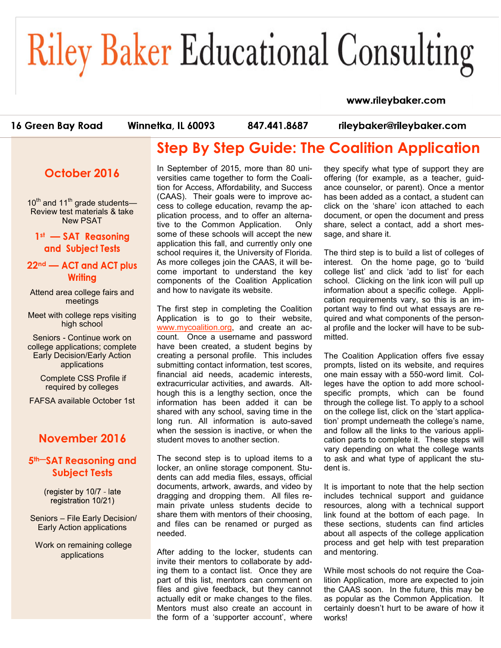#### www.rileybaker.com

16 Green Bay Road

Winnetka, IL 60093

847.441.8687

rileybaker@rileybaker.com

# **Step By Step Guide: The Coalition Application**

**October 2016**

 $10^{th}$  and  $11^{th}$  grade students— Review test materials & take New PSAT

 $1$ <sup>st</sup>  $-$  **SAT** and Subject Tests

#### 22<sup>nd</sup> — ACT and ACT plus **Writing**

Attend area college fairs and meetings

Meet with college reps visiting high school

Seniors - Continue work on college applications; complete Early Decision/Early Action applications

> Complete CSS Profile if required by colleges

FAFSA available October 1st

#### **November 2016**

#### **5th—SAT Reasoning and Subject Tests**

(register by 10/7 - late registration 10/21)

Seniors – File Early Decision/ Early Action applications

Work on remaining college applications

In September of 2015, more than 80 universities came together to form the Coalition for Access, Affordability, and Success (CAAS). Their goals were to improve access to college education, revamp the application process, and to offer an alternative to the Common Application. Only some of these schools will accept the new application this fall, and currently only one school requires it, the University of Florida. As more colleges join the CAAS, it will become important to understand the key components of the Coalition Application and how to navigate its website.

The first step in completing the Coalition Application is to go to their website, [www.mycoalition.org,](http://www.mycoalition.org) and create an account. Once a username and password have been created, a student begins by creating a personal profile. This includes submitting contact information, test scores, financial aid needs, academic interests, extracurricular activities, and awards. Although this is a lengthy section, once the information has been added it can be shared with any school, saving time in the long run. All information is auto-saved when the session is inactive, or when the student moves to another section.

The second step is to upload items to a locker, an online storage component. Students can add media files, essays, official documents, artwork, awards, and video by dragging and dropping them. All files remain private unless students decide to share them with mentors of their choosing, and files can be renamed or purged as needed.

After adding to the locker, students can invite their mentors to collaborate by adding them to a contact list. Once they are part of this list, mentors can comment on files and give feedback, but they cannot actually edit or make changes to the files. Mentors must also create an account in the form of a 'supporter account', where they specify what type of support they are offering (for example, as a teacher, guidance counselor, or parent). Once a mentor has been added as a contact, a student can click on the 'share' icon attached to each document, or open the document and press share, select a contact, add a short message, and share it.

The third step is to build a list of colleges of interest. On the home page, go to 'build college list' and click 'add to list' for each school. Clicking on the link icon will pull up information about a specific college. Application requirements vary, so this is an important way to find out what essays are required and what components of the personal profile and the locker will have to be submitted.

The Coalition Application offers five essay prompts, listed on its website, and requires one main essay with a 550-word limit. Colleges have the option to add more schoolspecific prompts, which can be found through the college list. To apply to a school on the college list, click on the 'start application' prompt underneath the college's name, and follow all the links to the various application parts to complete it. These steps will vary depending on what the college wants to ask and what type of applicant the student is.

It is important to note that the help section includes technical support and guidance resources, along with a technical support link found at the bottom of each page. In these sections, students can find articles about all aspects of the college application process and get help with test preparation and mentoring.

While most schools do not require the Coalition Application, more are expected to join the CAAS soon. In the future, this may be as popular as the Common Application. It certainly doesn't hurt to be aware of how it works!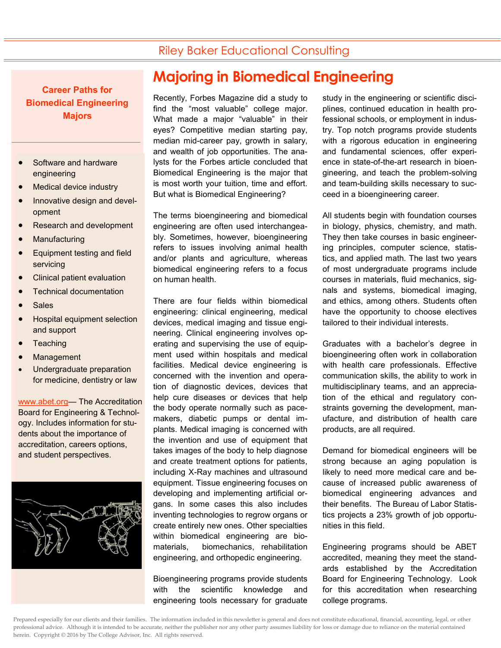**Career Paths for Biomedical Engineering Majors**

- Software and hardware engineering
- Medical device industry
- Innovative design and development
- Research and development
- Manufacturing
- Equipment testing and field servicing
- Clinical patient evaluation
- Technical documentation
- Sales
- Hospital equipment selection and support
- **Teaching**
- Management
- Undergraduate preparation for medicine, dentistry or law

[www.abet.org—](http://www.abet.org) The Accreditation Board for Engineering & Technology. Includes information for students about the importance of accreditation, careers options, and student perspectives.



# **Majoring in Biomedical Engineering**

Recently, Forbes Magazine did a study to find the "most valuable" college major. What made a major "valuable" in their eyes? Competitive median starting pay, median mid-career pay, growth in salary, and wealth of job opportunities. The analysts for the Forbes article concluded that Biomedical Engineering is the major that is most worth your tuition, time and effort. But what is Biomedical Engineering?

The terms bioengineering and biomedical engineering are often used interchangeably. Sometimes, however, bioengineering refers to issues involving animal health and/or plants and agriculture, whereas biomedical engineering refers to a focus on human health.

There are four fields within biomedical engineering: clinical engineering, medical devices, medical imaging and tissue engineering. Clinical engineering involves operating and supervising the use of equipment used within hospitals and medical facilities. Medical device engineering is concerned with the invention and operation of diagnostic devices, devices that help cure diseases or devices that help the body operate normally such as pacemakers, diabetic pumps or dental implants. Medical imaging is concerned with the invention and use of equipment that takes images of the body to help diagnose and create treatment options for patients, including X-Ray machines and ultrasound equipment. Tissue engineering focuses on developing and implementing artificial organs. In some cases this also includes inventing technologies to regrow organs or create entirely new ones. Other specialties within biomedical engineering are biomaterials, biomechanics, rehabilitation engineering, and orthopedic engineering.

Bioengineering programs provide students with the scientific knowledge and engineering tools necessary for graduate study in the engineering or scientific disciplines, continued education in health professional schools, or employment in industry. Top notch programs provide students with a rigorous education in engineering and fundamental sciences, offer experience in state-of-the-art research in bioengineering, and teach the problem-solving and team-building skills necessary to succeed in a bioengineering career.

All students begin with foundation courses in biology, physics, chemistry, and math. They then take courses in basic engineering principles, computer science, statistics, and applied math. The last two years of most undergraduate programs include courses in materials, fluid mechanics, signals and systems, biomedical imaging, and ethics, among others. Students often have the opportunity to choose electives tailored to their individual interests.

Graduates with a bachelor's degree in bioengineering often work in collaboration with health care professionals. Effective communication skills, the ability to work in multidisciplinary teams, and an appreciation of the ethical and regulatory constraints governing the development, manufacture, and distribution of health care products, are all required.

Demand for biomedical engineers will be strong because an aging population is likely to need more medical care and because of increased public awareness of biomedical engineering advances and their benefits. The Bureau of Labor Statistics projects a 23% growth of job opportunities in this field.

Engineering programs should be ABET accredited, meaning they meet the standards established by the Accreditation Board for Engineering Technology. Look for this accreditation when researching college programs.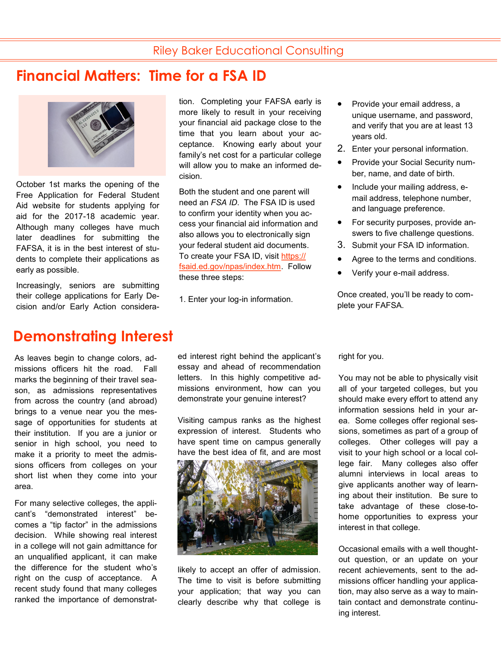## **Financial Matters: Time for a FSA ID**



October 1st marks the opening of the Free Application for Federal Student Aid website for students applying for aid for the 2017-18 academic year. Although many colleges have much later deadlines for submitting the FAFSA, it is in the best interest of students to complete their applications as early as possible.

Increasingly, seniors are submitting their college applications for Early Decision and/or Early Action considera-

## **Demonstrating Interest**

As leaves begin to change colors, admissions officers hit the road. Fall marks the beginning of their travel season, as admissions representatives from across the country (and abroad) brings to a venue near you the message of opportunities for students at their institution. If you are a junior or senior in high school, you need to make it a priority to meet the admissions officers from colleges on your short list when they come into your area.

For many selective colleges, the applicant's "demonstrated interest" becomes a "tip factor" in the admissions decision. While showing real interest in a college will not gain admittance for an unqualified applicant, it can make the difference for the student who's right on the cusp of acceptance. A recent study found that many colleges ranked the importance of demonstrattion. Completing your FAFSA early is more likely to result in your receiving your financial aid package close to the time that you learn about your acceptance. Knowing early about your family's net cost for a particular college will allow you to make an informed decision.

Both the student and one parent will need an *FSA ID*. The FSA ID is used to confirm your identity when you access your financial aid information and also allows you to electronically sign your federal student aid documents. To create your FSA ID, visit [https://](https://fsaid.ed.gov/npas/index.htm) [fsaid.ed.gov/npas/index.htm.](https://fsaid.ed.gov/npas/index.htm) Follow these three steps:

1. Enter your log-in information.

ed interest right behind the applicant's essay and ahead of recommendation letters. In this highly competitive admissions environment, how can you demonstrate your genuine interest?

Visiting campus ranks as the highest expression of interest. Students who have spent time on campus generally have the best idea of fit, and are most



likely to accept an offer of admission. The time to visit is before submitting your application; that way you can clearly describe why that college is

- Provide your email address, a unique username, and password, and verify that you are at least 13 years old.
- 2. Enter your personal information.
- Provide your Social Security number, name, and date of birth.
- Include your mailing address, email address, telephone number, and language preference.
- For security purposes, provide answers to five challenge questions.
- 3. Submit your FSA ID information.
- Agree to the terms and conditions.
- Verify your e-mail address.

Once created, you'll be ready to complete your FAFSA.

right for you.

You may not be able to physically visit all of your targeted colleges, but you should make every effort to attend any information sessions held in your area. Some colleges offer regional sessions, sometimes as part of a group of colleges. Other colleges will pay a visit to your high school or a local college fair. Many colleges also offer alumni interviews in local areas to give applicants another way of learning about their institution. Be sure to take advantage of these close-tohome opportunities to express your interest in that college.

Occasional emails with a well thoughtout question, or an update on your recent achievements, sent to the admissions officer handling your application, may also serve as a way to maintain contact and demonstrate continuing interest.